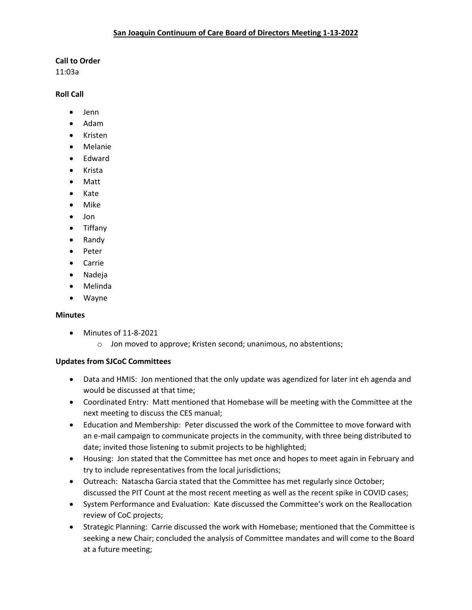### **Call to Order**

11:03a

#### **Roll Call**

- Jenn
- Adam
- Kristen
- Melanie
- Edward
- Krista
- Matt
- Kate
- Mike
- Jon
- Tiffany
- Randy
- Peter
- Carrie
- Nadeja
- Melinda
- Wayne

# **Minutes**

- Minutes of 11-8-2021
	- o Jon moved to approve; Kristen second; unanimous, no abstentions;

# **Updates from SJCoC Committees**

- Data and HMIS: Jon mentioned that the only update was agendized for later int eh agenda and would be discussed at that time;
- Coordinated Entry: Matt mentioned that Homebase will be meeting with the Committee at the next meeting to discuss the CES manual;
- Education and Membership: Peter discussed the work of the Committee to move forward with an e-mail campaign to communicate projects in the community, with three being distributed to date; invited those listening to submit projects to be highlighted;
- Housing: Jon stated that the Committee has met once and hopes to meet again in February and try to include representatives from the local jurisdictions;
- Outreach: Natascha Garcia stated that the Committee has met regularly since October; discussed the PIT Count at the most recent meeting as well as the recent spike in COVID cases;
- System Performance and Evaluation: Kate discussed the Committee's work on the Reallocation review of CoC projects;
- Strategic Planning: Carrie discussed the work with Homebase; mentioned that the Committee is seeking a new Chair; concluded the analysis of Committee mandates and will come to the Board at a future meeting;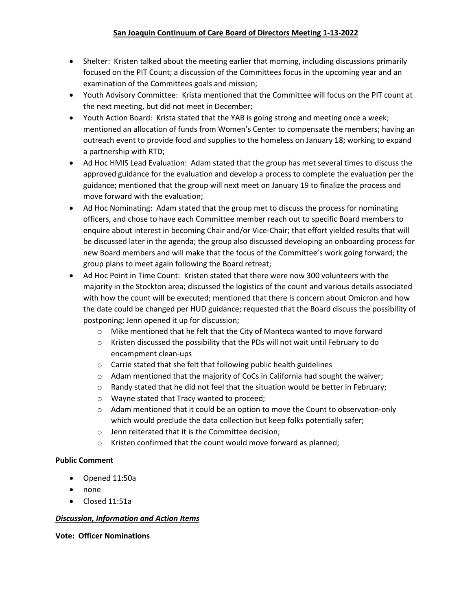- Shelter: Kristen talked about the meeting earlier that morning, including discussions primarily focused on the PIT Count; a discussion of the Committees focus in the upcoming year and an examination of the Committees goals and mission;
- Youth Advisory Committee: Krista mentioned that the Committee will focus on the PIT count at the next meeting, but did not meet in December;
- Youth Action Board: Krista stated that the YAB is going strong and meeting once a week; mentioned an allocation of funds from Women's Center to compensate the members; having an outreach event to provide food and supplies to the homeless on January 18; working to expand a partnership with RTD;
- Ad Hoc HMIS Lead Evaluation: Adam stated that the group has met several times to discuss the approved guidance for the evaluation and develop a process to complete the evaluation per the guidance; mentioned that the group will next meet on January 19 to finalize the process and move forward with the evaluation;
- Ad Hoc Nominating: Adam stated that the group met to discuss the process for nominating officers, and chose to have each Committee member reach out to specific Board members to enquire about interest in becoming Chair and/or Vice-Chair; that effort yielded results that will be discussed later in the agenda; the group also discussed developing an onboarding process for new Board members and will make that the focus of the Committee's work going forward; the group plans to meet again following the Board retreat;
- Ad Hoc Point in Time Count: Kristen stated that there were now 300 volunteers with the majority in the Stockton area; discussed the logistics of the count and various details associated with how the count will be executed; mentioned that there is concern about Omicron and how the date could be changed per HUD guidance; requested that the Board discuss the possibility of postponing; Jenn opened it up for discussion;
	- $\circ$  Mike mentioned that he felt that the City of Manteca wanted to move forward
	- o Kristen discussed the possibility that the PDs will not wait until February to do encampment clean-ups
	- o Carrie stated that she felt that following public health guidelines
	- $\circ$  Adam mentioned that the majority of CoCs in California had sought the waiver;
	- $\circ$  Randy stated that he did not feel that the situation would be better in February;
	- o Wayne stated that Tracy wanted to proceed;
	- $\circ$  Adam mentioned that it could be an option to move the Count to observation-only which would preclude the data collection but keep folks potentially safer;
	- o Jenn reiterated that it is the Committee decision;
	- o Kristen confirmed that the count would move forward as planned;

# **Public Comment**

- Opened 11:50a
- none
- Closed 11:51a

# *Discussion, Information and Action Items*

**Vote: Officer Nominations**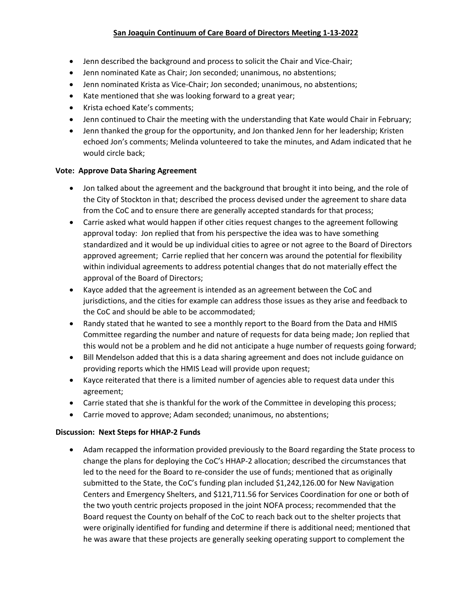# **San Joaquin Continuum of Care Board of Directors Meeting 1-13-2022**

- Jenn described the background and process to solicit the Chair and Vice-Chair;
- Jenn nominated Kate as Chair; Jon seconded; unanimous, no abstentions;
- Jenn nominated Krista as Vice-Chair; Jon seconded; unanimous, no abstentions;
- Kate mentioned that she was looking forward to a great year;
- Krista echoed Kate's comments;
- Jenn continued to Chair the meeting with the understanding that Kate would Chair in February;
- Jenn thanked the group for the opportunity, and Jon thanked Jenn for her leadership; Kristen echoed Jon's comments; Melinda volunteered to take the minutes, and Adam indicated that he would circle back;

### **Vote: Approve Data Sharing Agreement**

- Jon talked about the agreement and the background that brought it into being, and the role of the City of Stockton in that; described the process devised under the agreement to share data from the CoC and to ensure there are generally accepted standards for that process;
- Carrie asked what would happen if other cities request changes to the agreement following approval today: Jon replied that from his perspective the idea was to have something standardized and it would be up individual cities to agree or not agree to the Board of Directors approved agreement; Carrie replied that her concern was around the potential for flexibility within individual agreements to address potential changes that do not materially effect the approval of the Board of Directors;
- Kayce added that the agreement is intended as an agreement between the CoC and jurisdictions, and the cities for example can address those issues as they arise and feedback to the CoC and should be able to be accommodated;
- Randy stated that he wanted to see a monthly report to the Board from the Data and HMIS Committee regarding the number and nature of requests for data being made; Jon replied that this would not be a problem and he did not anticipate a huge number of requests going forward;
- Bill Mendelson added that this is a data sharing agreement and does not include guidance on providing reports which the HMIS Lead will provide upon request;
- Kayce reiterated that there is a limited number of agencies able to request data under this agreement;
- Carrie stated that she is thankful for the work of the Committee in developing this process;
- Carrie moved to approve; Adam seconded; unanimous, no abstentions;

# **Discussion: Next Steps for HHAP-2 Funds**

• Adam recapped the information provided previously to the Board regarding the State process to change the plans for deploying the CoC's HHAP-2 allocation; described the circumstances that led to the need for the Board to re-consider the use of funds; mentioned that as originally submitted to the State, the CoC's funding plan included \$1,242,126.00 for New Navigation Centers and Emergency Shelters, and \$121,711.56 for Services Coordination for one or both of the two youth centric projects proposed in the joint NOFA process; recommended that the Board request the County on behalf of the CoC to reach back out to the shelter projects that were originally identified for funding and determine if there is additional need; mentioned that he was aware that these projects are generally seeking operating support to complement the